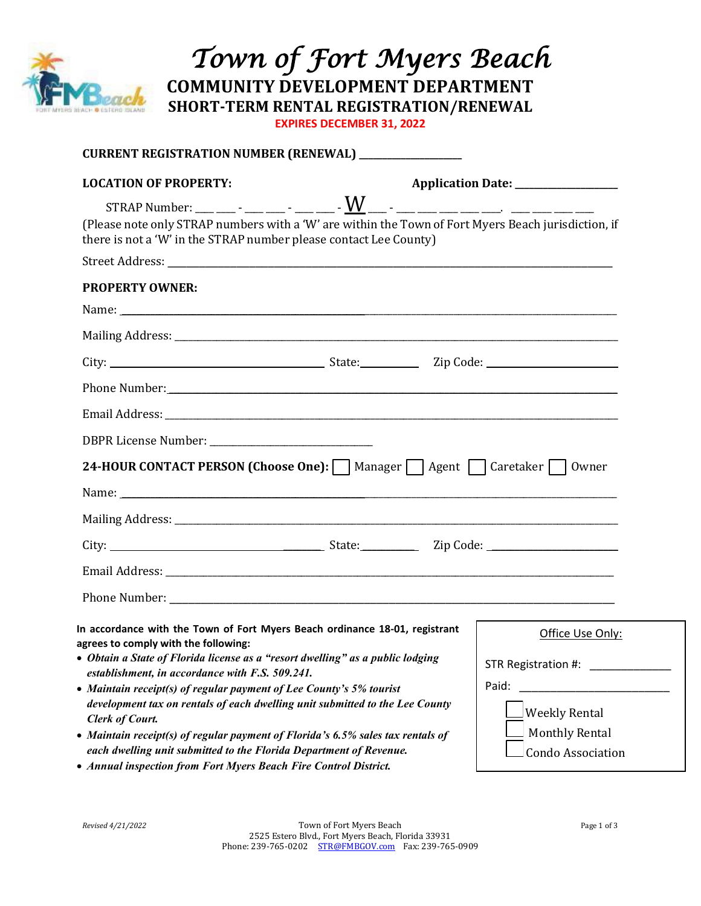

 *Town of Fort Myers Beach* **COMMUNITY DEVELOPMENT DEPARTMENT**

**SHORT-TERM RENTAL REGISTRATION/RENEWAL**

**EXPIRES DECEMBER 31, 2022** 

| CURRENT REGISTRATION NUMBER (RENEWAL) _______________                                                                                                                    |
|--------------------------------------------------------------------------------------------------------------------------------------------------------------------------|
|                                                                                                                                                                          |
| (Please note only STRAP numbers with a 'W' are within the Town of Fort Myers Beach jurisdiction, if<br>there is not a 'W' in the STRAP number please contact Lee County) |
|                                                                                                                                                                          |
|                                                                                                                                                                          |
| Name: Name:                                                                                                                                                              |
|                                                                                                                                                                          |
|                                                                                                                                                                          |
|                                                                                                                                                                          |
|                                                                                                                                                                          |
|                                                                                                                                                                          |
| 24-HOUR CONTACT PERSON (Choose One): Manager   Agent   Caretaker   Owner                                                                                                 |
|                                                                                                                                                                          |
|                                                                                                                                                                          |
|                                                                                                                                                                          |
|                                                                                                                                                                          |
|                                                                                                                                                                          |
|                                                                                                                                                                          |
| In accordance with the Town of Fort Myers Beach ordinance 18-01, registrant<br>Office Use Only:                                                                          |
| • Obtain a State of Florida license as a "resort dwelling" as a public lodging<br>STR Registration #:                                                                    |
| Paid:                                                                                                                                                                    |
|                                                                                                                                                                          |
| development tax on rentals of each dwelling unit submitted to the Lee County<br>Weekly Rental                                                                            |
| <b>Monthly Rental</b><br>• Maintain receipt(s) of regular payment of Florida's 6.5% sales tax rentals of                                                                 |
|                                                                                                                                                                          |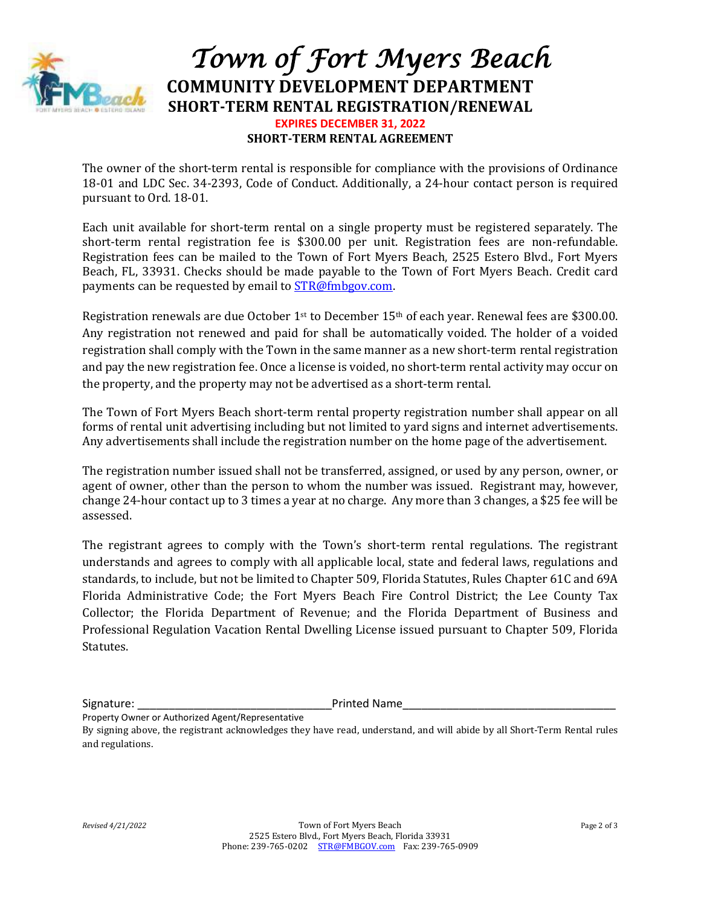

## *Town of Fort Myers Beach* **COMMUNITY DEVELOPMENT DEPARTMENT SHORT-TERM RENTAL REGISTRATION/RENEWAL EXPIRES DECEMBER 31, 2022 SHORT-TERM RENTAL AGREEMENT**

The owner of the short-term rental is responsible for compliance with the provisions of Ordinance 18-01 and LDC Sec. 34-2393, Code of Conduct. Additionally, a 24-hour contact person is required pursuant to Ord. 18-01.

Each unit available for short-term rental on a single property must be registered separately. The short-term rental registration fee is \$300.00 per unit. Registration fees are non-refundable. Registration fees can be mailed to the Town of Fort Myers Beach, 2525 Estero Blvd., Fort Myers Beach, FL, 33931. Checks should be made payable to the Town of Fort Myers Beach. Credit card payments can be requested by email to [STR@fmbgov.com.](mailto:STR@fmbgov.com)

Registration renewals are due October 1st to December 15th of each year. Renewal fees are \$300.00. Any registration not renewed and paid for shall be automatically voided. The holder of a voided registration shall comply with the Town in the same manner as a new short-term rental registration and pay the new registration fee. Once a license is voided, no short-term rental activity may occur on the property, and the property may not be advertised as a short-term rental.

The Town of Fort Myers Beach short-term rental property registration number shall appear on all forms of rental unit advertising including but not limited to yard signs and internet advertisements. Any advertisements shall include the registration number on the home page of the advertisement.

The registration number issued shall not be transferred, assigned, or used by any person, owner, or agent of owner, other than the person to whom the number was issued. Registrant may, however, change 24-hour contact up to 3 times a year at no charge. Any more than 3 changes, a \$25 fee will be assessed.

The registrant agrees to comply with the Town's short-term rental regulations. The registrant understands and agrees to comply with all applicable local, state and federal laws, regulations and standards, to include, but not be limited to Chapter 509, Florida Statutes, Rules Chapter 61C and 69A Florida Administrative Code; the Fort Myers Beach Fire Control District; the Lee County Tax Collector; the Florida Department of Revenue; and the Florida Department of Business and Professional Regulation Vacation Rental Dwelling License issued pursuant to Chapter 509, Florida Statutes.

Signature: The contraction of the contraction of the Printed Name

Property Owner or Authorized Agent/Representative

By signing above, the registrant acknowledges they have read, understand, and will abide by all Short-Term Rental rules and regulations.